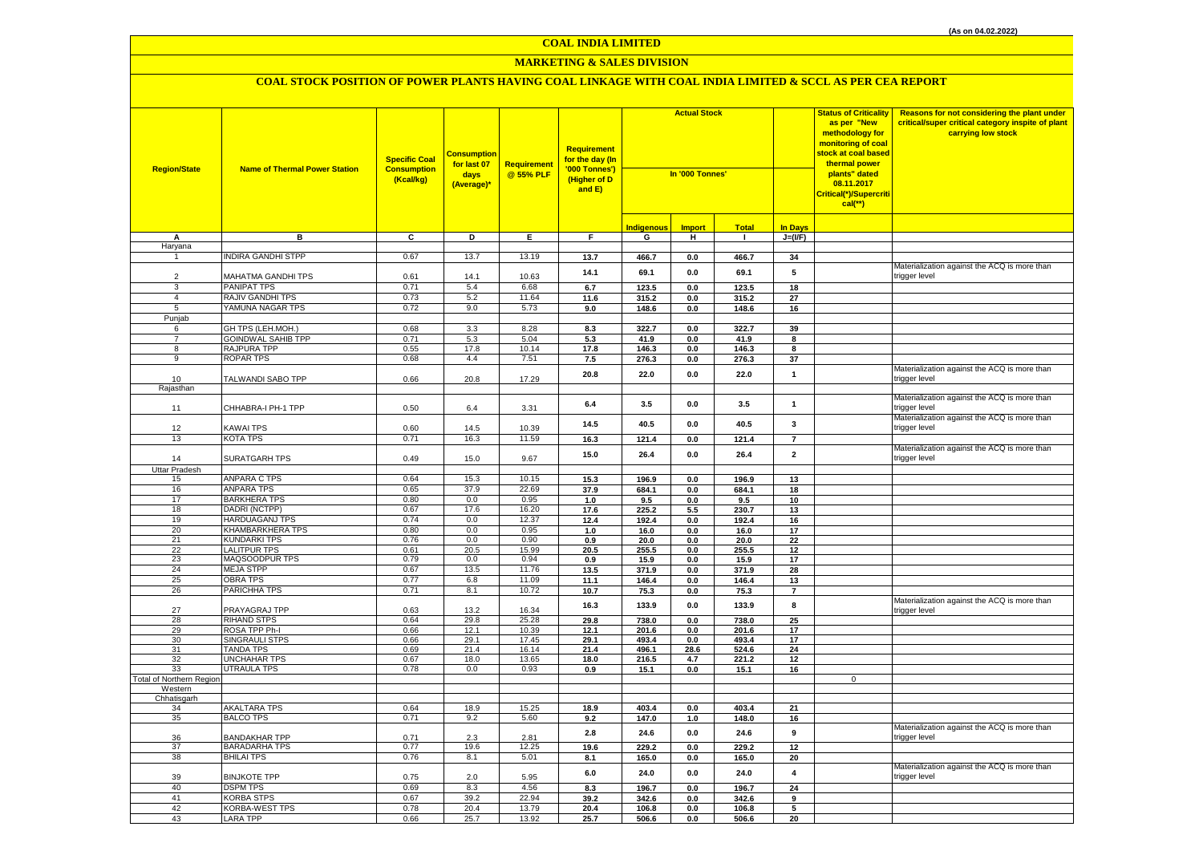# **MARKETING & SALES DIVISION**

| <b>Region/State</b>             | <b>Name of Thermal Power Station</b>    | <b>Specific Coal</b><br><b>Consumption</b><br>(Kcal/kg) | <b>Consumption</b><br>for last 07<br>days<br>(Average)* | Requirement<br>@ 55% PLF | <b>Requirement</b><br>for the day (In<br>'000 Tonnes')<br>(Higher of D<br>and $E$ ) | <b>Actual Stock</b><br>In '000 Tonnes' |               |                |                      | <b>Status of Criticality</b><br>as per "New<br>methodology for<br>monitoring of coal<br><mark>stock at coal based</mark><br>thermal power<br>plants" dated<br>08.11.2017<br>Critical(*)/Supercriti<br>$cal$ (**) | Reasons for not considering the plant under<br>critical/super critical category inspite of plant<br>carrying low stock |
|---------------------------------|-----------------------------------------|---------------------------------------------------------|---------------------------------------------------------|--------------------------|-------------------------------------------------------------------------------------|----------------------------------------|---------------|----------------|----------------------|------------------------------------------------------------------------------------------------------------------------------------------------------------------------------------------------------------------|------------------------------------------------------------------------------------------------------------------------|
|                                 |                                         |                                                         |                                                         |                          |                                                                                     | <b>Indigenous</b>                      | <b>Import</b> | <b>Total</b>   | <b>In Days</b>       |                                                                                                                                                                                                                  |                                                                                                                        |
| Α<br>Haryana                    | в                                       | C                                                       | D                                                       | E                        | F.                                                                                  | G                                      | н             | $\mathbf{1}$   | $J=(VF)$             |                                                                                                                                                                                                                  |                                                                                                                        |
| $\mathbf{1}$                    | <b>NDIRA GANDHI STPP</b>                | 0.67                                                    | 13.7                                                    | 13.19                    | 13.7                                                                                | 466.7                                  | $0.0\,$       | 466.7          | 34                   |                                                                                                                                                                                                                  |                                                                                                                        |
|                                 |                                         |                                                         |                                                         |                          |                                                                                     |                                        |               |                |                      |                                                                                                                                                                                                                  | Materialization against the ACQ is more than                                                                           |
| $\overline{2}$                  | MAHATMA GANDHI TPS                      | 0.61                                                    | 14.1                                                    | 10.63                    | 14.1                                                                                | 69.1                                   | 0.0           | 69.1           | 5                    |                                                                                                                                                                                                                  | trigger level                                                                                                          |
| 3                               | <b>PANIPAT TPS</b>                      | 0.71                                                    | 5.4                                                     | 6.68                     | 6.7                                                                                 | 123.5                                  | 0.0           | 123.5          | 18                   |                                                                                                                                                                                                                  |                                                                                                                        |
| $\overline{4}$                  | RAJIV GANDHI TPS                        | 0.73                                                    | 5.2                                                     | 11.64                    | 11.6                                                                                | 315.2                                  | 0.0           | 315.2          | 27                   |                                                                                                                                                                                                                  |                                                                                                                        |
| 5                               | YAMUNA NAGAR TPS                        | 0.72                                                    | 9.0                                                     | 5.73                     | 9.0                                                                                 | 148.6                                  | 0.0           | 148.6          | 16                   |                                                                                                                                                                                                                  |                                                                                                                        |
| Punjab                          |                                         |                                                         |                                                         |                          |                                                                                     |                                        |               |                |                      |                                                                                                                                                                                                                  |                                                                                                                        |
| 6<br>$\overline{7}$             | GH TPS (LEH.MOH.)                       | 0.68<br>0.71                                            | 3.3                                                     | 8.28                     | 8.3                                                                                 | 322.7                                  | 0.0           | 322.7          | 39                   |                                                                                                                                                                                                                  |                                                                                                                        |
| 8                               | GOINDWAL SAHIB TPP<br>RAJPURA TPP       | 0.55                                                    | 5.3<br>17.8                                             | 5.04<br>10.14            | 5.3<br>17.8                                                                         | 41.9<br>146.3                          | 0.0<br>0.0    | 41.9<br>146.3  | 8<br>8               |                                                                                                                                                                                                                  |                                                                                                                        |
| 9                               | <b>ROPAR TPS</b>                        | 0.68                                                    | 4.4                                                     | 7.51                     | 7.5                                                                                 | 276.3                                  | 0.0           | 276.3          | 37                   |                                                                                                                                                                                                                  |                                                                                                                        |
|                                 |                                         |                                                         |                                                         |                          |                                                                                     |                                        |               |                |                      |                                                                                                                                                                                                                  | Materialization against the ACQ is more than                                                                           |
| 10                              | TALWANDI SABO TPP                       | 0.66                                                    | 20.8                                                    | 17.29                    | 20.8                                                                                | 22.0                                   | 0.0           | 22.0           | $\mathbf{1}$         |                                                                                                                                                                                                                  | trigger level                                                                                                          |
| Rajasthan                       |                                         |                                                         |                                                         |                          |                                                                                     |                                        |               |                |                      |                                                                                                                                                                                                                  |                                                                                                                        |
|                                 |                                         |                                                         |                                                         |                          | 6.4                                                                                 | 3.5                                    | 0.0           | 3.5            | $\mathbf{1}$         |                                                                                                                                                                                                                  | Materialization against the ACQ is more than                                                                           |
| 11                              | CHHABRA-I PH-1 TPP                      | 0.50                                                    | 6.4                                                     | 3.31                     |                                                                                     |                                        |               |                |                      |                                                                                                                                                                                                                  | rigger level                                                                                                           |
| 12                              | KAWAI TPS                               | 0.60                                                    | 14.5                                                    | 10.39                    | 14.5                                                                                | 40.5                                   | 0.0           | 40.5           | 3                    |                                                                                                                                                                                                                  | Materialization against the ACQ is more than<br>trigger level                                                          |
| 13                              | KOTA TPS                                | 0.71                                                    | 16.3                                                    | 11.59                    | 16.3                                                                                | 121.4                                  | $0.0\,$       | 121.4          | $\overline{7}$       |                                                                                                                                                                                                                  |                                                                                                                        |
|                                 |                                         |                                                         |                                                         |                          |                                                                                     |                                        |               |                |                      |                                                                                                                                                                                                                  | Materialization against the ACQ is more than                                                                           |
| 14                              | SURATGARH TPS                           | 0.49                                                    | 15.0                                                    | 9.67                     | 15.0                                                                                | 26.4                                   | 0.0           | 26.4           | $\overline{2}$       |                                                                                                                                                                                                                  | trigger level                                                                                                          |
| Uttar Pradesh                   |                                         |                                                         |                                                         |                          |                                                                                     |                                        |               |                |                      |                                                                                                                                                                                                                  |                                                                                                                        |
| 15                              | ANPARA C TPS                            | 0.64                                                    | 15.3                                                    | 10.15                    | 15.3                                                                                | 196.9                                  | $0.0\,$       | 196.9          | 13                   |                                                                                                                                                                                                                  |                                                                                                                        |
| 16                              | <b>ANPARA TPS</b>                       | 0.65                                                    | 37.9                                                    | 22.69                    | 37.9                                                                                | 684.1                                  | 0.0           | 684.1          | 18                   |                                                                                                                                                                                                                  |                                                                                                                        |
| 17<br>18                        | <b>BARKHERA TPS</b><br>DADRI (NCTPP)    | 0.80<br>0.67                                            | 0.0<br>17.6                                             | 0.95<br>16.20            | 1.0<br>17.6                                                                         | 9.5<br>225.2                           | 0.0<br>5.5    | 9.5<br>230.7   | 10<br>13             |                                                                                                                                                                                                                  |                                                                                                                        |
| 19                              | <b>HARDUAGANJ TPS</b>                   | 0.74                                                    | 0.0                                                     | 12.37                    | 12.4                                                                                | 192.4                                  | $0.0\,$       | 192.4          | 16                   |                                                                                                                                                                                                                  |                                                                                                                        |
| 20                              | KHAMBARKHERA TPS                        | 0.80                                                    | 0.0                                                     | 0.95                     | 1.0                                                                                 | 16.0                                   | $0.0\,$       | 16.0           | 17                   |                                                                                                                                                                                                                  |                                                                                                                        |
| 21                              | <b>KUNDARKI TPS</b>                     | 0.76                                                    | 0.0                                                     | 0.90                     | 0.9                                                                                 | 20.0                                   | 0.0           | 20.0           | 22                   |                                                                                                                                                                                                                  |                                                                                                                        |
| 22                              | <b>LALITPUR TPS</b>                     | 0.61                                                    | 20.5                                                    | 15.99                    | 20.5                                                                                | 255.5                                  | 0.0           | 255.5          | 12                   |                                                                                                                                                                                                                  |                                                                                                                        |
| 23                              | MAQSOODPUR TPS                          | 0.79                                                    | 0.0                                                     | 0.94                     | 0.9                                                                                 | 15.9                                   | 0.0           | 15.9           | 17                   |                                                                                                                                                                                                                  |                                                                                                                        |
| 24                              | <b>MEJA STPP</b>                        | 0.67                                                    | 13.5                                                    | 11.76                    | 13.5                                                                                | 371.9                                  | 0.0           | 371.9          | 28                   |                                                                                                                                                                                                                  |                                                                                                                        |
| 25<br>26                        | <b>OBRA TPS</b><br>PARICHHA TPS         | 0.77<br>0.71                                            | 6.8<br>8.1                                              | 11.09<br>10.72           | 11.1<br>10.7                                                                        | 146.4<br>75.3                          | 0.0<br>0.0    | 146.4<br>75.3  | 13<br>$\overline{7}$ |                                                                                                                                                                                                                  |                                                                                                                        |
|                                 |                                         |                                                         |                                                         |                          |                                                                                     |                                        |               |                |                      |                                                                                                                                                                                                                  | Materialization against the ACQ is more than                                                                           |
| 27                              | PRAYAGRAJ TPP                           | 0.63                                                    | 13.2                                                    | 16.34                    | 16.3                                                                                | 133.9                                  | 0.0           | 133.9          | 8                    |                                                                                                                                                                                                                  | trigger level                                                                                                          |
| 28                              | <b>RIHAND STPS</b>                      | 0.64                                                    | 29.8                                                    | 25.28                    | 29.8                                                                                | 738.0                                  | 0.0           | 738.0          | 25                   |                                                                                                                                                                                                                  |                                                                                                                        |
| 29                              | ROSA TPP Ph-I                           | 0.66                                                    | 12.1                                                    | 10.39                    | 12.1                                                                                | 201.6                                  | 0.0           | 201.6          | 17                   |                                                                                                                                                                                                                  |                                                                                                                        |
| 30<br>31                        | <b>SINGRAULI STPS</b>                   | 0.66                                                    | 29.1<br>21.4                                            | 17.45                    | 29.1                                                                                | 493.4                                  | 0.0           | 493.4          | 17<br>24             |                                                                                                                                                                                                                  |                                                                                                                        |
| 32                              | TANDA TPS<br>UNCHAHAR TPS               | 0.69<br>0.67                                            | 18.0                                                    | 16.14<br>13.65           | 21.4<br>18.0                                                                        | 496.1<br>216.5                         | 28.6<br>4.7   | 524.6<br>221.2 | 12                   |                                                                                                                                                                                                                  |                                                                                                                        |
| 33                              | UTRAULA TPS                             | 0.78                                                    | 0.0                                                     | 0.93                     | 0.9                                                                                 | 15.1                                   | 0.0           | 15.1           | 16                   |                                                                                                                                                                                                                  |                                                                                                                        |
| <b>Total of Northern Regior</b> |                                         |                                                         |                                                         |                          |                                                                                     |                                        |               |                |                      | $\mathbf 0$                                                                                                                                                                                                      |                                                                                                                        |
| Western                         |                                         |                                                         |                                                         |                          |                                                                                     |                                        |               |                |                      |                                                                                                                                                                                                                  |                                                                                                                        |
| Chhatisgarh                     |                                         |                                                         |                                                         |                          |                                                                                     |                                        |               |                |                      |                                                                                                                                                                                                                  |                                                                                                                        |
| 34<br>35                        | <b>AKALTARA TPS</b><br><b>BALCO TPS</b> | 0.64<br>0.71                                            | 18.9<br>9.2                                             | 15.25<br>5.60            | 18.9<br>9.2                                                                         | 403.4<br>147.0                         | 0.0           | 403.4<br>148.0 | 21<br>16             |                                                                                                                                                                                                                  |                                                                                                                        |
|                                 |                                         |                                                         |                                                         |                          |                                                                                     |                                        | 1.0           |                |                      |                                                                                                                                                                                                                  | Materialization against the ACQ is more than                                                                           |
| 36                              | <b>BANDAKHAR TPP</b>                    | 0.71                                                    | 2.3                                                     | 2.81                     | $2.8$                                                                               | 24.6                                   | 0.0           | 24.6           | 9                    |                                                                                                                                                                                                                  | trigger level                                                                                                          |
| 37                              | BARADARHA TPS                           | 0.77                                                    | 19.6                                                    | 12.25                    | 19.6                                                                                | 229.2                                  | 0.0           | 229.2          | 12                   |                                                                                                                                                                                                                  |                                                                                                                        |
| 38                              | <b>BHILAI TPS</b>                       | 0.76                                                    | 8.1                                                     | 5.01                     | 8.1                                                                                 | 165.0                                  | 0.0           | 165.0          | 20                   |                                                                                                                                                                                                                  |                                                                                                                        |
|                                 |                                         |                                                         |                                                         |                          | 6.0                                                                                 | 24.0                                   | 0.0           | 24.0           | $\overline{4}$       |                                                                                                                                                                                                                  | Materialization against the ACQ is more than                                                                           |
| 39                              | <b>BINJKOTE TPP</b>                     | 0.75                                                    | 2.0                                                     | 5.95                     |                                                                                     |                                        |               |                |                      |                                                                                                                                                                                                                  | trigger level                                                                                                          |
| 40<br>41                        | <b>DSPM TPS</b><br>KORBA STPS           | 0.69<br>0.67                                            | 8.3<br>39.2                                             | 4.56<br>22.94            | 8.3<br>39.2                                                                         | 196.7<br>342.6                         | 0.0<br>0.0    | 196.7<br>342.6 | 24<br>9              |                                                                                                                                                                                                                  |                                                                                                                        |
| 42                              | KORBA-WEST TPS                          | 0.78                                                    | 20.4                                                    | 13.79                    | 20.4                                                                                | 106.8                                  | 0.0           | 106.8          | 5                    |                                                                                                                                                                                                                  |                                                                                                                        |
| 43                              | <b>LARA TPP</b>                         | 0.66                                                    | 25.7                                                    | 13.92                    | 25.7                                                                                | 506.6                                  | 0.0           | 506.6          | 20                   |                                                                                                                                                                                                                  |                                                                                                                        |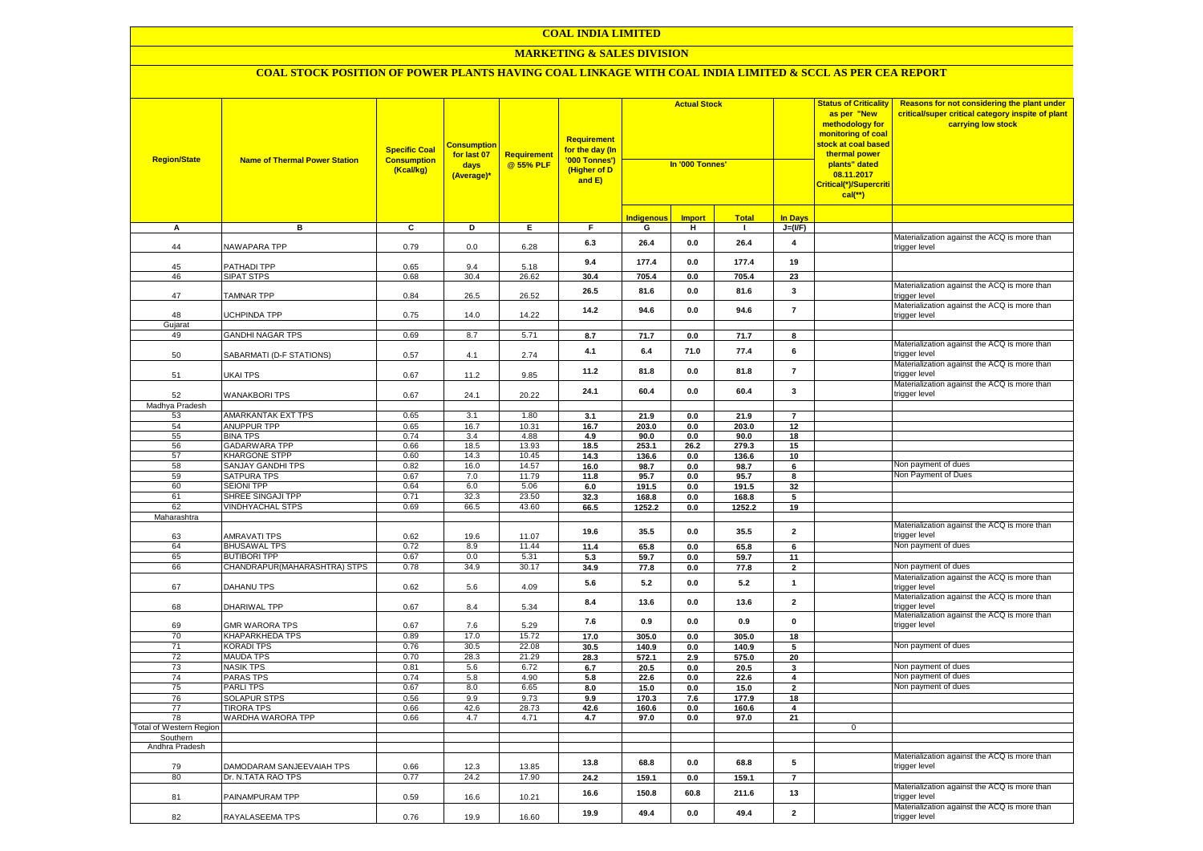### **MARKETING & SALES DIVISION**

| <b>Region/State</b>                        | <b>Name of Thermal Power Station</b>            | <b>Specific Coal</b><br><b>Consumption</b><br>(Kcal/kg) | <b>Consumption</b><br>for last 07<br>days<br>(Average)* | Requirement<br>@ 55% PLF | <b>Requirement</b><br>f <mark>or the day (In</mark><br>'000 Tonnes')<br>(Higher of D<br>and E) | <b>Actual Stock</b><br>In '000 Tonnes' |               |               |                         | <b>Status of Criticality</b><br>as per "New<br>methodology for<br>monitoring of coal<br>stock at coal based<br>thermal power<br>plants" dated<br>08.11.2017<br>Critical(*)/Supercriti<br>$cal$ (**) | Reasons for not considering the plant under<br>critical/super critical category inspite of plant<br>carrying low stock |
|--------------------------------------------|-------------------------------------------------|---------------------------------------------------------|---------------------------------------------------------|--------------------------|------------------------------------------------------------------------------------------------|----------------------------------------|---------------|---------------|-------------------------|-----------------------------------------------------------------------------------------------------------------------------------------------------------------------------------------------------|------------------------------------------------------------------------------------------------------------------------|
|                                            |                                                 |                                                         |                                                         |                          |                                                                                                | <b>Indigenous</b>                      | <b>Import</b> | <b>Total</b>  | <b>In Days</b>          |                                                                                                                                                                                                     |                                                                                                                        |
| A                                          | в                                               | C                                                       | D                                                       | Е.                       | F.                                                                                             | G                                      | н             | -1            | $J=(VF)$                |                                                                                                                                                                                                     |                                                                                                                        |
| 44                                         | NAWAPARA TPP                                    | 0.79                                                    | 0.0                                                     | 6.28                     | 6.3                                                                                            | 26.4                                   | 0.0           | 26.4          | $\overline{\mathbf{4}}$ |                                                                                                                                                                                                     | Materialization against the ACQ is more than<br>rigger level                                                           |
| 45                                         | PATHADI TPP                                     | 0.65                                                    | 9.4                                                     | 5.18                     | 9.4                                                                                            | 177.4                                  | 0.0           | 177.4         | 19                      |                                                                                                                                                                                                     |                                                                                                                        |
| 46                                         | <b>SIPAT STPS</b>                               | 0.68                                                    | 30.4                                                    | 26.62                    | 30.4                                                                                           | 705.4                                  | 0.0           | 705.4         | 23                      |                                                                                                                                                                                                     |                                                                                                                        |
| 47                                         | <b>TAMNAR TPP</b>                               | 0.84                                                    | 26.5                                                    | 26.52                    | 26.5                                                                                           | 81.6                                   | 0.0           | 81.6          | 3                       |                                                                                                                                                                                                     | Materialization against the ACQ is more than<br>trigger level                                                          |
| 48                                         | <b>UCHPINDA TPP</b>                             | 0.75                                                    | 14.0                                                    | 14.22                    | 14.2                                                                                           | 94.6                                   | 0.0           | 94.6          | $\overline{7}$          |                                                                                                                                                                                                     | Materialization against the ACQ is more than<br>trigger level                                                          |
| Gujarat                                    |                                                 |                                                         |                                                         |                          |                                                                                                |                                        |               |               |                         |                                                                                                                                                                                                     |                                                                                                                        |
| 49                                         | <b>GANDHI NAGAR TPS</b>                         | 0.69                                                    | 8.7                                                     | 5.71                     | 8.7                                                                                            | 71.7                                   | $0.0\,$       | 71.7          | 8                       |                                                                                                                                                                                                     | Materialization against the ACQ is more than                                                                           |
| 50                                         | SABARMATI (D-F STATIONS)                        | 0.57                                                    | 4.1                                                     | 2.74                     | 4.1                                                                                            | 6.4                                    | 71.0          | 77.4          | 6                       |                                                                                                                                                                                                     | rigger level<br>Materialization against the ACQ is more than                                                           |
| 51                                         | UKAI TPS                                        | 0.67                                                    | 11.2                                                    | 9.85                     | 11.2                                                                                           | 81.8                                   | 0.0           | 81.8          | $\overline{7}$          |                                                                                                                                                                                                     | trigger level                                                                                                          |
| 52                                         | <b>WANAKBORI TPS</b>                            | 0.67                                                    | 24.1                                                    | 20.22                    | 24.1                                                                                           | 60.4                                   | 0.0           | 60.4          | 3                       |                                                                                                                                                                                                     | Materialization against the ACQ is more than<br>rigger level:                                                          |
| Madhya Pradesh                             |                                                 |                                                         |                                                         |                          |                                                                                                |                                        |               |               |                         |                                                                                                                                                                                                     |                                                                                                                        |
| 53                                         | AMARKANTAK EXT TPS                              | 0.65                                                    | 3.1                                                     | 1.80                     | 3.1                                                                                            | 21.9                                   | 0.0           | 21.9          | $\overline{7}$          |                                                                                                                                                                                                     |                                                                                                                        |
| 54                                         | ANUPPUR TPP                                     | 0.65                                                    | 16.7                                                    | 10.31                    | 16.7                                                                                           | 203.0                                  | 0.0           | 203.0         | 12                      |                                                                                                                                                                                                     |                                                                                                                        |
| 55<br>56                                   | <b>BINA TPS</b><br><b>GADARWARA TPP</b>         | 0.74<br>0.66                                            | 3.4<br>18.5                                             | 4.88<br>13.93            | 4.9<br>18.5                                                                                    | 90.0<br>253.1                          | 0.0<br>26.2   | 90.0<br>279.3 | 18<br>15                |                                                                                                                                                                                                     |                                                                                                                        |
| 57                                         | <b>KHARGONE STPP</b>                            | 0.60                                                    | 14.3                                                    | 10.45                    | 14.3                                                                                           | 136.6                                  | 0.0           | 136.6         | 10                      |                                                                                                                                                                                                     |                                                                                                                        |
| 58                                         | SANJAY GANDHI TPS                               | 0.82                                                    | 16.0                                                    | 14.57                    | 16.0                                                                                           | 98.7                                   | 0.0           | 98.7          | 6                       |                                                                                                                                                                                                     | Non payment of dues                                                                                                    |
| 59                                         | <b>SATPURA TPS</b>                              | 0.67                                                    | 7.0                                                     | 11.79                    | 11.8                                                                                           | 95.7                                   | $0.0\,$       | 95.7          | 8                       |                                                                                                                                                                                                     | Non Payment of Dues                                                                                                    |
| 60                                         | <b>SEIONI TPP</b>                               | 0.64                                                    | 6.0                                                     | 5.06                     | 6.0                                                                                            | 191.5                                  | 0.0           | 191.5         | 32                      |                                                                                                                                                                                                     |                                                                                                                        |
| 61                                         | SHREE SINGAJI TPP                               | 0.71                                                    | 32.3                                                    | 23.50                    | 32.3                                                                                           | 168.8                                  | 0.0           | 168.8         | 5                       |                                                                                                                                                                                                     |                                                                                                                        |
| 62                                         | <b>VINDHYACHAL STPS</b>                         | 0.69                                                    | 66.5                                                    | 43.60                    | 66.5                                                                                           | 1252.2                                 | 0.0           | 1252.2        | 19                      |                                                                                                                                                                                                     |                                                                                                                        |
| Maharashtra                                |                                                 |                                                         |                                                         |                          |                                                                                                |                                        |               |               |                         |                                                                                                                                                                                                     |                                                                                                                        |
| 63                                         | <b>AMRAVATI TPS</b>                             | 0.62                                                    | 19.6                                                    | 11.07                    | 19.6                                                                                           | 35.5                                   | 0.0           | 35.5          | $\overline{\mathbf{2}}$ |                                                                                                                                                                                                     | Materialization against the ACQ is more than<br>rigger level                                                           |
| 64                                         | <b>BHUSAWAL TPS</b>                             | 0.72                                                    | 8.9                                                     | 11.44                    | 11.4                                                                                           | 65.8                                   | $0.0\,$       | 65.8          | 6                       |                                                                                                                                                                                                     | Non payment of dues                                                                                                    |
| 65                                         | <b>BUTIBORI TPP</b>                             | 0.67                                                    | 0.0                                                     | 5.31                     | 5.3                                                                                            | 59.7                                   | 0.0           | 59.7          | 11                      |                                                                                                                                                                                                     |                                                                                                                        |
| 66                                         | CHANDRAPUR(MAHARASHTRA) STPS                    | 0.78                                                    | 34.9                                                    | 30.17                    | 34.9                                                                                           | 77.8                                   | 0.0           | 77.8          | $\mathbf{2}$            |                                                                                                                                                                                                     | Non payment of dues                                                                                                    |
| 67                                         | DAHANU TPS                                      | 0.62                                                    | 5.6                                                     | 4.09                     | 5.6                                                                                            | 5.2                                    | 0.0           | 5.2           | $\mathbf{1}$            |                                                                                                                                                                                                     | Materialization against the ACQ is more than<br>trigger level                                                          |
| 68                                         | DHARIWAL TPP                                    | 0.67                                                    | 8.4                                                     | 5.34                     | 8.4                                                                                            | 13.6                                   | 0.0           | 13.6          | $\mathbf 2$             |                                                                                                                                                                                                     | Materialization against the ACQ is more than<br>trigger level<br>Materialization against the ACQ is more than          |
| 69<br>70                                   | <b>GMR WARORA TPS</b><br><b>KHAPARKHEDA TPS</b> | 0.67<br>0.89                                            | 7.6<br>17.0                                             | 5.29<br>15.72            | 7.6<br>17.0                                                                                    | 0.9<br>305.0                           | 0.0<br>0.0    | 0.9<br>305.0  | $\mathbf 0$<br>18       |                                                                                                                                                                                                     | trigger level                                                                                                          |
| 71                                         | <b>KORADI TPS</b>                               | 0.76                                                    | 30.5                                                    | 22.08                    | 30.5                                                                                           | 140.9                                  | 0.0           | 140.9         | 5                       |                                                                                                                                                                                                     | Non payment of dues                                                                                                    |
| 72                                         | <b>MAUDA TPS</b>                                | 0.70                                                    | 28.3                                                    | 21.29                    | 28.3                                                                                           | 572.1                                  | 2.9           | 575.0         | 20                      |                                                                                                                                                                                                     |                                                                                                                        |
| 73                                         | <b>NASIK TPS</b>                                | 0.81                                                    | 5.6                                                     | 6.72                     | 6.7                                                                                            | 20.5                                   | 0.0           | 20.5          | 3                       |                                                                                                                                                                                                     | Non payment of dues                                                                                                    |
| 74                                         | <b>PARAS TPS</b>                                | 0.74                                                    | 5.8                                                     | 4.90                     | 5.8                                                                                            | 22.6                                   | 0.0           | 22.6          | $\overline{\mathbf{4}}$ |                                                                                                                                                                                                     | Non payment of dues                                                                                                    |
| 75                                         | <b>PARLITPS</b>                                 | 0.67                                                    | 8.0                                                     | 6.65                     | 8.0                                                                                            | 15.0                                   | 0.0           | 15.0          | $\overline{\mathbf{2}}$ |                                                                                                                                                                                                     | Non payment of dues                                                                                                    |
| 76                                         | <b>SOLAPUR STPS</b>                             | 0.56                                                    | 9.9                                                     | 9.73                     | 9.9                                                                                            | 170.3                                  | 7.6           | 177.9         | 18                      |                                                                                                                                                                                                     |                                                                                                                        |
| 77                                         | TIRORA TPS                                      | 0.66                                                    | 42.6                                                    | 28.73                    | 42.6                                                                                           | 160.6                                  | $0.0\,$       | 160.6         | 4                       |                                                                                                                                                                                                     |                                                                                                                        |
| 78                                         | WARDHA WARORA TPP                               | 0.66                                                    | 4.7                                                     | 4.71                     | 4.7                                                                                            | 97.0                                   | $0.0\,$       | 97.0          | 21                      |                                                                                                                                                                                                     |                                                                                                                        |
| <b>Total of Western Region</b><br>Southern |                                                 |                                                         |                                                         |                          |                                                                                                |                                        |               |               |                         | $\mathbf 0$                                                                                                                                                                                         |                                                                                                                        |
| Andhra Pradesh                             |                                                 |                                                         |                                                         |                          |                                                                                                |                                        |               |               |                         |                                                                                                                                                                                                     |                                                                                                                        |
| 79                                         | DAMODARAM SANJEEVAIAH TPS                       | 0.66                                                    | 12.3                                                    | 13.85                    | 13.8                                                                                           | 68.8                                   | 0.0           | 68.8          | 5                       |                                                                                                                                                                                                     | Materialization against the ACQ is more than<br>trigger level                                                          |
| 80                                         | Dr. N.TATA RAO TPS                              | 0.77                                                    | 24.2                                                    | 17.90                    | 24.2                                                                                           | 159.1                                  | 0.0           | 159.1         | $\overline{7}$          |                                                                                                                                                                                                     |                                                                                                                        |
| 81                                         | PAINAMPURAM TPP                                 | 0.59                                                    | 16.6                                                    | 10.21                    | 16.6                                                                                           | 150.8                                  | 60.8          | 211.6         | 13                      |                                                                                                                                                                                                     | Materialization against the ACQ is more than<br>rigger level                                                           |
| 82                                         | RAYALASEEMA TPS                                 | 0.76                                                    | 19.9                                                    | 16.60                    | 19.9                                                                                           | 49.4                                   | 0.0           | 49.4          | $\mathbf 2$             |                                                                                                                                                                                                     | Materialization against the ACQ is more than<br>trigger level                                                          |
|                                            |                                                 |                                                         |                                                         |                          |                                                                                                |                                        |               |               |                         |                                                                                                                                                                                                     |                                                                                                                        |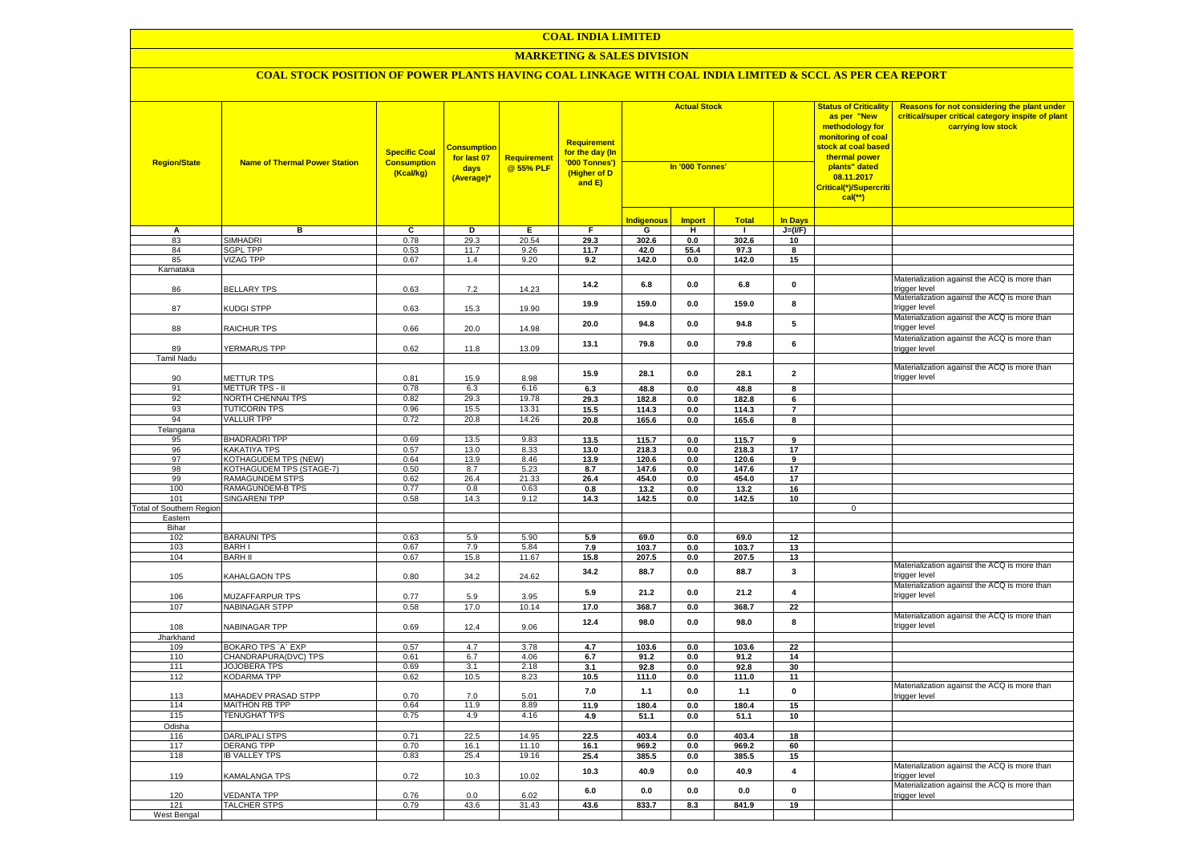### **MARKETING & SALES DIVISION**

| <b>Region/State</b>             | <b>Name of Thermal Power Station</b>       | <b>Specific Coal</b><br><b>Consumption</b><br>(Kcal/kg) | <b>Consumptior</b><br>for last 07<br>days<br>(Average)* | <b>Requirement</b><br>@ 55% PLF | <b>Requirement</b><br>for the day (In<br>'000 Tonnes')<br>(Higher of D<br>and E) | <b>Actual Stock</b><br>In '000 Tonnes' |                    |               | <b>Status of Criticality</b><br>as per "New<br>methodology for<br>monitoring of coal<br><mark>stock at coal based</mark><br>thermal power<br>plants" dated<br>08.11.2017<br>Critical(*)/Supercriti<br>$cal$ (**) | Reasons for not considering the plant under<br>critical/super critical category inspite of plant<br>carrying low stock |                                                               |
|---------------------------------|--------------------------------------------|---------------------------------------------------------|---------------------------------------------------------|---------------------------------|----------------------------------------------------------------------------------|----------------------------------------|--------------------|---------------|------------------------------------------------------------------------------------------------------------------------------------------------------------------------------------------------------------------|------------------------------------------------------------------------------------------------------------------------|---------------------------------------------------------------|
|                                 |                                            |                                                         |                                                         |                                 |                                                                                  | <b>Indigenous</b>                      | <b>Import</b>      | <b>Total</b>  | <b>In Davs</b>                                                                                                                                                                                                   |                                                                                                                        |                                                               |
| А                               | в                                          | $\overline{c}$                                          | Þ                                                       | E                               | F                                                                                | G                                      | н                  | -1            | $J=(VF)$                                                                                                                                                                                                         |                                                                                                                        |                                                               |
| 83                              | <b>SIMHADRI</b>                            | 0.78                                                    | 29.3                                                    | 20.54                           | 29.3                                                                             | 302.6                                  | 0.0                | 302.6         | 10                                                                                                                                                                                                               |                                                                                                                        |                                                               |
| 84                              | <b>SGPL TPP</b>                            | 0.53                                                    | 11.7                                                    | 9.26                            | 11.7                                                                             | 42.0                                   | 55.4               | 97.3          | 8                                                                                                                                                                                                                |                                                                                                                        |                                                               |
| 85                              | <b>VIZAG TPP</b>                           | 0.67                                                    | 1.4                                                     | 9.20                            | 9.2                                                                              | 142.0                                  | 0.0                | 142.0         | 15                                                                                                                                                                                                               |                                                                                                                        |                                                               |
| Karnataka                       |                                            |                                                         |                                                         |                                 |                                                                                  |                                        |                    |               |                                                                                                                                                                                                                  |                                                                                                                        |                                                               |
| 86                              | <b>BELLARY TPS</b>                         | 0.63                                                    | 7.2                                                     | 14.23                           | 14.2                                                                             | 6.8                                    | $0.0\,$            | 6.8           | $\mathbf 0$                                                                                                                                                                                                      |                                                                                                                        | Materialization against the ACQ is more than<br>trigger level |
| 87                              | KUDGI STPP                                 | 0.63                                                    | 15.3                                                    | 19.90                           | 19.9                                                                             | 159.0                                  | 0.0                | 159.0         | 8                                                                                                                                                                                                                |                                                                                                                        | Materialization against the ACQ is more than<br>trigger level |
| 88                              | <b>RAICHUR TPS</b>                         | 0.66                                                    | 20.0                                                    | 14.98                           | 20.0                                                                             | 94.8                                   | 0.0                | 94.8          | 5                                                                                                                                                                                                                |                                                                                                                        | Materialization against the ACQ is more than<br>rigger level  |
|                                 |                                            |                                                         |                                                         |                                 | 13.1                                                                             | 79.8                                   | 0.0                | 79.8          | 6                                                                                                                                                                                                                |                                                                                                                        | Materialization against the ACQ is more than                  |
| 89<br>Tamil Nadu                | YERMARUS TPP                               | 0.62                                                    | 11.8                                                    | 13.09                           |                                                                                  |                                        |                    |               |                                                                                                                                                                                                                  |                                                                                                                        | rigger level                                                  |
|                                 |                                            |                                                         |                                                         |                                 |                                                                                  |                                        |                    |               |                                                                                                                                                                                                                  |                                                                                                                        | Materialization against the ACQ is more than                  |
| 90                              | <b>METTUR TPS</b>                          | 0.81                                                    | 15.9                                                    | 8.98                            | 15.9                                                                             | 28.1                                   | 0.0                | 28.1          | $\overline{\mathbf{2}}$                                                                                                                                                                                          |                                                                                                                        | trigger level                                                 |
| 91                              | METTUR TPS - II                            | 0.78                                                    | 6.3                                                     | 6.16                            | 6.3                                                                              | 48.8                                   | 0.0                | 48.8          | 8                                                                                                                                                                                                                |                                                                                                                        |                                                               |
| 92                              | NORTH CHENNAI TPS                          | 0.82                                                    | 29.3                                                    | 19.78                           | 29.3                                                                             | 182.8                                  | 0.0                | 182.8         | 6                                                                                                                                                                                                                |                                                                                                                        |                                                               |
| 93                              | <b>TUTICORIN TPS</b>                       | 0.96                                                    | 15.5                                                    | 13.31                           | 15.5                                                                             | 114.3                                  | 0.0                | 114.3         | $\overline{7}$                                                                                                                                                                                                   |                                                                                                                        |                                                               |
| 94                              | <b>VALLUR TPP</b>                          | 0.72                                                    | 20.8                                                    | 14.26                           | 20.8                                                                             | 165.6                                  | $0.0\,$            | 165.6         | 8                                                                                                                                                                                                                |                                                                                                                        |                                                               |
| Telangana                       |                                            |                                                         |                                                         |                                 |                                                                                  |                                        |                    |               |                                                                                                                                                                                                                  |                                                                                                                        |                                                               |
| 95                              | <b>BHADRADRI TPP</b>                       | 0.69                                                    | 13.5                                                    | 9.83                            | 13.5                                                                             | 115.7                                  | 0.0                | 115.7         | $\overline{9}$                                                                                                                                                                                                   |                                                                                                                        |                                                               |
| 96                              | <b>KAKATIYA TPS</b>                        | 0.57                                                    | 13.0                                                    | 8.33                            | 13.0                                                                             | 218.3                                  | 0.0                | 218.3         | 17                                                                                                                                                                                                               |                                                                                                                        |                                                               |
| 97                              | KOTHAGUDEM TPS (NEW)                       | 0.64                                                    | 13.9                                                    | 8.46                            | 13.9                                                                             | 120.6                                  | 0.0                | 120.6         | $\overline{9}$                                                                                                                                                                                                   |                                                                                                                        |                                                               |
| 98                              | KOTHAGUDEM TPS (STAGE-7)                   | 0.50                                                    | 8.7                                                     | 5.23                            | 8.7                                                                              | 147.6                                  | 0.0                | 147.6         | 17                                                                                                                                                                                                               |                                                                                                                        |                                                               |
| 99<br>100                       | RAMAGUNDEM STPS<br>RAMAGUNDEM-B TPS        | 0.62<br>0.77                                            | 26.4<br>0.8                                             | 21.33<br>0.63                   | 26.4                                                                             | 454.0                                  | 0.0                | 454.0         | 17                                                                                                                                                                                                               |                                                                                                                        |                                                               |
| 101                             | SINGARENI TPP                              | 0.58                                                    | 14.3                                                    | 9.12                            | 0.8<br>14.3                                                                      | 13.2<br>142.5                          | 0.0<br>$0.0\,$     | 13.2<br>142.5 | 16<br>10                                                                                                                                                                                                         |                                                                                                                        |                                                               |
| <b>Total of Southern Region</b> |                                            |                                                         |                                                         |                                 |                                                                                  |                                        |                    |               |                                                                                                                                                                                                                  | $\mathbf 0$                                                                                                            |                                                               |
| Eastern                         |                                            |                                                         |                                                         |                                 |                                                                                  |                                        |                    |               |                                                                                                                                                                                                                  |                                                                                                                        |                                                               |
| Bihar                           |                                            |                                                         |                                                         |                                 |                                                                                  |                                        |                    |               |                                                                                                                                                                                                                  |                                                                                                                        |                                                               |
| 102                             | <b>BARAUNI TPS</b>                         | 0.63                                                    | 5.9                                                     | 5.90                            | 5.9                                                                              | 69.0                                   | 0.0                | 69.0          | 12                                                                                                                                                                                                               |                                                                                                                        |                                                               |
| 103                             | <b>BARHI</b>                               | 0.67                                                    | 7.9                                                     | 5.84                            | 7.9                                                                              | 103.7                                  | 0.0                | 103.7         | 13                                                                                                                                                                                                               |                                                                                                                        |                                                               |
| 104                             | <b>BARH II</b>                             | 0.67                                                    | 15.8                                                    | 11.67                           | 15.8                                                                             | 207.5                                  | 0.0                | 207.5         | 13                                                                                                                                                                                                               |                                                                                                                        |                                                               |
| 105                             | KAHALGAON TPS                              | 0.80                                                    | 34.2                                                    | 24.62                           | 34.2                                                                             | 88.7                                   | 0.0                | 88.7          | 3                                                                                                                                                                                                                |                                                                                                                        | Materialization against the ACQ is more than<br>rigger level: |
| 106                             | MUZAFFARPUR TPS                            | 0.77                                                    | 5.9                                                     | 3.95                            | 5.9                                                                              | 21.2                                   | 0.0                | 21.2          | $\pmb{4}$                                                                                                                                                                                                        |                                                                                                                        | Materialization against the ACQ is more than<br>rigger level  |
| 107                             | <b>NABINAGAR STPP</b>                      | 0.58                                                    | 17.0                                                    | 10.14                           | 17.0                                                                             | 368.7                                  | 0.0                | 368.7         | 22                                                                                                                                                                                                               |                                                                                                                        |                                                               |
| 108                             | NABINAGAR TPP                              | 0.69                                                    | 12.4                                                    | 9.06                            | 12.4                                                                             | 98.0                                   | 0.0                | 98.0          | 8                                                                                                                                                                                                                |                                                                                                                        | Materialization against the ACQ is more than<br>rigger level  |
| Jharkhand                       |                                            |                                                         |                                                         |                                 |                                                                                  |                                        |                    |               |                                                                                                                                                                                                                  |                                                                                                                        |                                                               |
| 109<br>110                      | BOKARO TPS 'A' EXP<br>CHANDRAPURA(DVC) TPS | 0.57<br>0.61                                            | 4.7<br>6.7                                              | 3.78<br>4.06                    | 4.7<br>6.7                                                                       | 103.6<br>91.2                          | $0.0\,$<br>$0.0\,$ | 103.6<br>91.2 | 22<br>14                                                                                                                                                                                                         |                                                                                                                        |                                                               |
| 111                             | <b>JOJOBERA TPS</b>                        | 0.69                                                    | 3.1                                                     | 2.18                            | 3.1                                                                              | 92.8                                   | 0.0                | 92.8          | 30                                                                                                                                                                                                               |                                                                                                                        |                                                               |
| 112                             | KODARMA TPP                                | 0.62                                                    | 10.5                                                    | 8.23                            | 10.5                                                                             | 111.0                                  | $0.0\,$            | 111.0         | 11                                                                                                                                                                                                               |                                                                                                                        |                                                               |
|                                 |                                            |                                                         |                                                         |                                 |                                                                                  |                                        |                    |               |                                                                                                                                                                                                                  |                                                                                                                        | Materialization against the ACQ is more than                  |
| 113                             | MAHADEV PRASAD STPP                        | 0.70                                                    | 7.0                                                     | 5.01                            | 7.0                                                                              | $1.1$                                  | $0.0\,$            | $1.1$         | $\pmb{0}$                                                                                                                                                                                                        |                                                                                                                        | rigger level                                                  |
| 114                             | <b>MAITHON RB TPP</b>                      | 0.64                                                    | 11.9                                                    | 8.89                            | 11.9                                                                             | 180.4                                  | 0.0                | 180.4         | 15                                                                                                                                                                                                               |                                                                                                                        |                                                               |
| 115                             | <b>TENUGHAT TPS</b>                        | 0.75                                                    | 4.9                                                     | 4.16                            | 4.9                                                                              | 51.1                                   | 0.0                | 51.1          | 10                                                                                                                                                                                                               |                                                                                                                        |                                                               |
| Odisha                          |                                            |                                                         |                                                         |                                 |                                                                                  |                                        |                    |               |                                                                                                                                                                                                                  |                                                                                                                        |                                                               |
| 116                             | <b>DARLIPALI STPS</b>                      | 0.71                                                    | 22.5                                                    | 14.95                           | 22.5                                                                             | 403.4                                  | 0.0                | 403.4         | 18                                                                                                                                                                                                               |                                                                                                                        |                                                               |
| 117<br>118                      | DERANG TPP<br><b>IB VALLEY TPS</b>         | 0.70<br>0.83                                            | 16.1<br>25.4                                            | 11.10<br>19.16                  | 16.1                                                                             | 969.2                                  | 0.0                | 969.2         | 60                                                                                                                                                                                                               |                                                                                                                        |                                                               |
|                                 |                                            |                                                         |                                                         |                                 | 25.4                                                                             | 385.5                                  | $0.0\,$            | 385.5         | 15                                                                                                                                                                                                               |                                                                                                                        | Materialization against the ACQ is more than                  |
| 119                             | <b>KAMALANGA TPS</b>                       | 0.72                                                    | 10.3                                                    | 10.02                           | 10.3                                                                             | 40.9                                   | 0.0                | 40.9          | 4                                                                                                                                                                                                                |                                                                                                                        | rigger level<br>Materialization against the ACQ is more than  |
| 120                             | <b>/EDANTA TPP</b>                         | 0.76                                                    | 0.0                                                     | 6.02                            | 6.0                                                                              | 0.0                                    | 0.0                | 0.0           | $\pmb{0}$                                                                                                                                                                                                        |                                                                                                                        | trigger level                                                 |
| 121                             | <b>TALCHER STPS</b>                        | 0.79                                                    | 43.6                                                    | 31.43                           | 43.6                                                                             | 833.7                                  | 8.3                | 841.9         | 19                                                                                                                                                                                                               |                                                                                                                        |                                                               |
| West Bengal                     |                                            |                                                         |                                                         |                                 |                                                                                  |                                        |                    |               |                                                                                                                                                                                                                  |                                                                                                                        |                                                               |